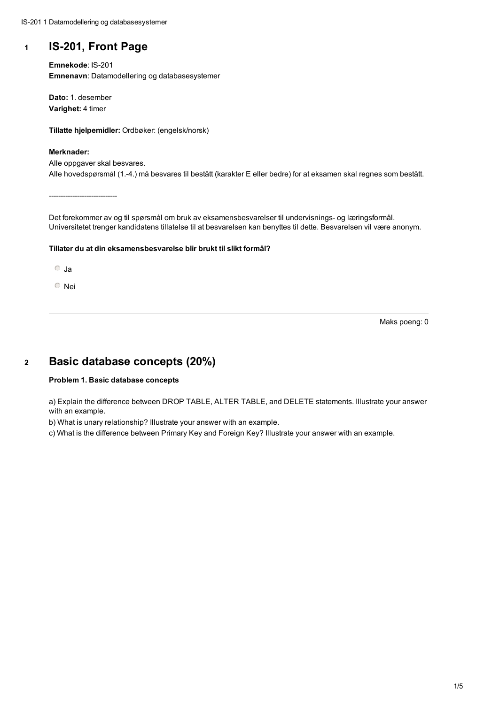## **<sup>1</sup> IS-201, Front Page**

**Emnekode**: IS-201 **Emnenavn**: Datamodellering og databasesystemer

**Dato:** 1. desember **Varighet:** 4 timer

**Tillatte hjelpemidler:** Ordbøker: (engelsk/norsk)

#### **Merknader:**

Alle oppgaver skal besvares. Alle hovedspørsmål (1.-4.) må besvares til bestått (karakter E eller bedre) for at eksamen skal regnes som bestått.

-----------------------------

Det forekommer av og til spørsmål om bruk av eksamensbesvarelser til undervisnings- og læringsformål. Universitetet trenger kandidatens tillatelse til at besvarelsen kan benyttes til dette. Besvarelsen vil være anonym.

## **Tillater du at din eksamensbesvarelse blir brukt til slikt formål?**

Ja

Nei

Maks poeng: 0

## **<sup>2</sup> Basic database concepts (20%)**

### **Problem 1. Basic database concepts**

a) Explain the difference between DROP TABLE, ALTER TABLE, and DELETE statements. Illustrate your answer with an example.

b) What is unary relationship? Illustrate your answer with an example.

c) What is the difference between Primary Key and Foreign Key? Illustrate your answer with an example.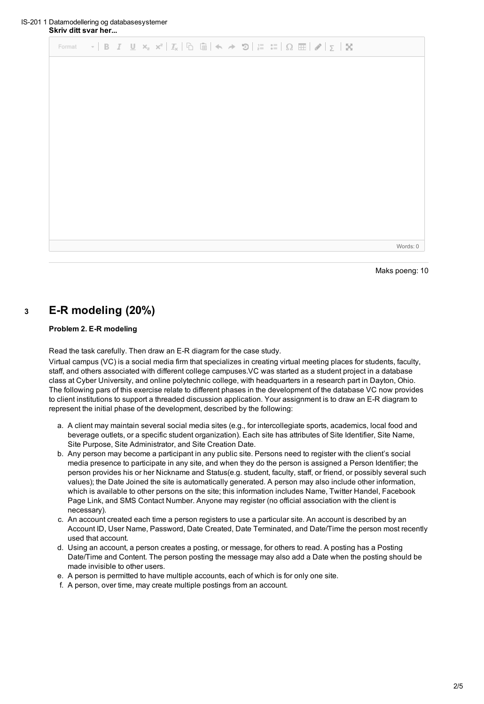|  | Format $\mathbf{v}$   B $I$ U $\mathbf{x}_z$ $\mathbf{x}^z$   $\mathcal{I}_x$   $\odot$   $\odot$   $\mathbf{w}$ $\mathbf{w}$   $\odot$ $\mathbf{w}$   $\odot$ $\mathbf{w}$   $\odot$   $\odot$   $\odot$   $\odot$   $\odot$   $\odot$   $\odot$   $\odot$   $\odot$   $\odot$   $\odot$   $\odot$ |          |
|--|-----------------------------------------------------------------------------------------------------------------------------------------------------------------------------------------------------------------------------------------------------------------------------------------------------|----------|
|  |                                                                                                                                                                                                                                                                                                     |          |
|  |                                                                                                                                                                                                                                                                                                     |          |
|  |                                                                                                                                                                                                                                                                                                     |          |
|  |                                                                                                                                                                                                                                                                                                     |          |
|  |                                                                                                                                                                                                                                                                                                     |          |
|  |                                                                                                                                                                                                                                                                                                     |          |
|  |                                                                                                                                                                                                                                                                                                     |          |
|  |                                                                                                                                                                                                                                                                                                     |          |
|  |                                                                                                                                                                                                                                                                                                     |          |
|  |                                                                                                                                                                                                                                                                                                     |          |
|  |                                                                                                                                                                                                                                                                                                     | Words: 0 |

Maks poeng: 10

# **<sup>3</sup> E-R modeling (20%)**

### **Problem 2. E-R modeling**

Read the task carefully. Then draw an E-R diagram for the case study.

Virtual campus (VC) is a social media firm that specializes in creating virtual meeting places for students, faculty, staff, and others associated with different college campuses.VC was started as a student project in a database class at Cyber University, and online polytechnic college, with headquarters in a research part in Dayton, Ohio. The following pars of this exercise relate to different phases in the development of the database VC now provides to client institutions to support a threaded discussion application. Your assignment is to draw an E-R diagram to represent the initial phase of the development, described by the following:

- a. A client may maintain several social media sites (e.g., for intercollegiate sports, academics, local food and beverage outlets, or a specific student organization). Each site has attributes of Site Identifier, Site Name, Site Purpose, Site Administrator, and Site Creation Date.
- b. Any person may become a participant in any public site. Persons need to register with the client's social media presence to participate in any site, and when they do the person is assigned a Person Identifier; the person provides his or her Nickname and Status(e.g. student, faculty, staff, or friend, or possibly several such values); the Date Joined the site is automatically generated. A person may also include other information, which is available to other persons on the site; this information includes Name, Twitter Handel, Facebook Page Link, and SMS Contact Number. Anyone may register (no official association with the client is necessary).
- c. An account created each time a person registers to use a particular site. An account is described by an Account ID, User Name, Password, Date Created, Date Terminated, and Date/Time the person most recently used that account.
- d. Using an account, a person creates a posting, or message, for others to read. A posting has a Posting Date/Time and Content. The person posting the message may also add a Date when the posting should be made invisible to other users.
- e. A person is permitted to have multiple accounts, each of which is for only one site.
- f. A person, over time, may create multiple postings from an account.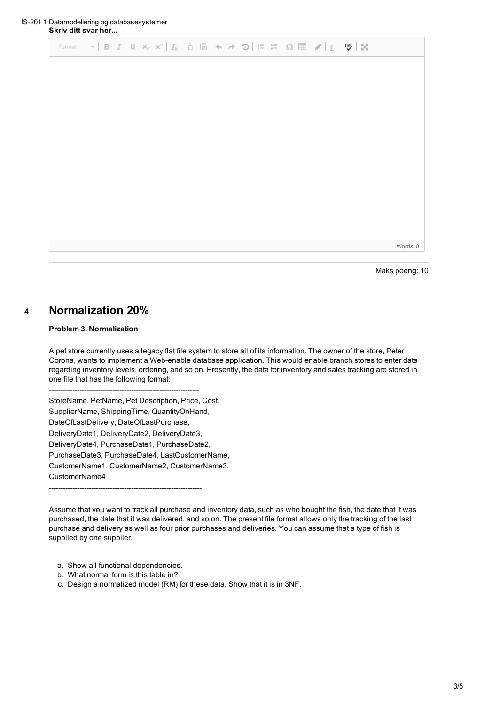|  |  | Format $\mathbf{v}$   B $I$ U $\mathbf{x}_z$ $\mathbf{x}^z$   $\mathcal{I}_x$   $\odot$   $\odot$   $\mathbf{w}$ + $\mathbf{v}$   $\odot$   $\frac{1}{z}$ = $\frac{1}{z}$   $\Omega$   $\mathbf{E}$   $\mathbf{w}$   $\mathbf{x}_z$ |          |
|--|--|-------------------------------------------------------------------------------------------------------------------------------------------------------------------------------------------------------------------------------------|----------|
|  |  |                                                                                                                                                                                                                                     |          |
|  |  |                                                                                                                                                                                                                                     |          |
|  |  |                                                                                                                                                                                                                                     |          |
|  |  |                                                                                                                                                                                                                                     |          |
|  |  |                                                                                                                                                                                                                                     |          |
|  |  |                                                                                                                                                                                                                                     |          |
|  |  |                                                                                                                                                                                                                                     |          |
|  |  |                                                                                                                                                                                                                                     |          |
|  |  |                                                                                                                                                                                                                                     |          |
|  |  |                                                                                                                                                                                                                                     |          |
|  |  |                                                                                                                                                                                                                                     | Words: 0 |

Maks poeng: 10

## **<sup>4</sup> Normalization 20%**

### **Problem 3. Normalization**

A pet store currently uses a legacy flat file system to store all of its information. The owner of the store, Peter Corona, wants to implement a Web-enable database application. This would enable branch stores to enter data regarding inventory levels, ordering, and so on. Presently, the data for inventory and sales tracking are stored in one file that has the following format:

----------------------------------------------------------------

StoreName, PetName, Pet Description, Price, Cost, SupplierName, ShippingTime, QuantityOnHand, DateOfLastDelivery, DateOfLastPurchase,

DeliveryDate1, DeliveryDate2, DeliveryDate3, DeliveryDate4, PurchaseDate1, PurchaseDate2, PurchaseDate3, PurchaseDate4, LastCustomerName, CustomerName1, CustomerName2, CustomerName3, CustomerName4

-----------------------------------------------------------------

Assume that you want to track all purchase and inventory data, such as who bought the fish, the date that it was purchased, the date that it was delivered, and so on. The present file format allows only the tracking of the last purchase and delivery as well as four prior purchases and deliveries. You can assume that a type of fish is supplied by one supplier.

a. Show all functional dependencies.

- b. What normal form is this table in?
- c. Design a normalized model (RM) for these data. Show that it is in 3NF.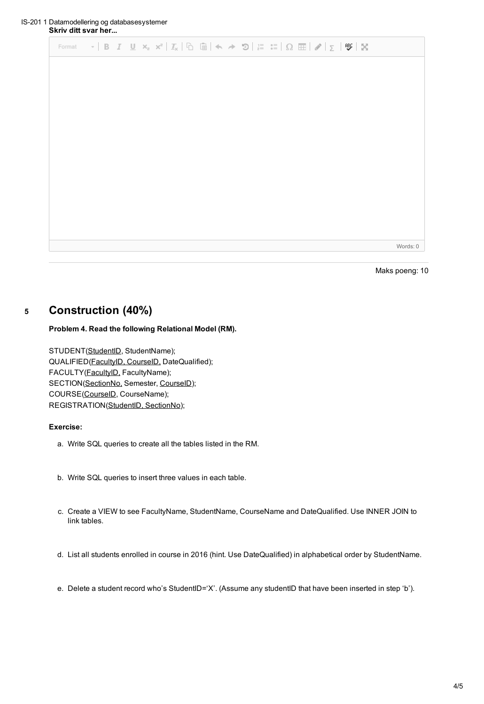|  |  | Format $\mathbf{v}$   B $I$ U $\mathbf{x}_z$ $\mathbf{x}^z$   $\mathcal{I}_x$   $\odot$   $\odot$   $\mathbf{x}$ $\rightarrow$ $\mathbf{v}$   $\mathbf{x}_z^z$   $\odot$   $\mathbf{x}_z^z$   $\odot$   $\mathbf{x}_z^z$   $\odot$   $\mathbf{x}_z^z$   $\odot$   $\mathbf{x}_z^z$   $\odot$   $\mathbf{x}_z^z$   $\odot$ |          |
|--|--|---------------------------------------------------------------------------------------------------------------------------------------------------------------------------------------------------------------------------------------------------------------------------------------------------------------------------|----------|
|  |  |                                                                                                                                                                                                                                                                                                                           |          |
|  |  |                                                                                                                                                                                                                                                                                                                           |          |
|  |  |                                                                                                                                                                                                                                                                                                                           |          |
|  |  |                                                                                                                                                                                                                                                                                                                           |          |
|  |  |                                                                                                                                                                                                                                                                                                                           |          |
|  |  |                                                                                                                                                                                                                                                                                                                           |          |
|  |  |                                                                                                                                                                                                                                                                                                                           |          |
|  |  |                                                                                                                                                                                                                                                                                                                           |          |
|  |  |                                                                                                                                                                                                                                                                                                                           |          |
|  |  |                                                                                                                                                                                                                                                                                                                           |          |
|  |  |                                                                                                                                                                                                                                                                                                                           | Words: 0 |

Maks poeng: 10

## **<sup>5</sup> Construction (40%)**

## **Problem 4. Read the following Relational Model (RM).**

STUDENT(StudentID, StudentName); QUALIFIED(FacultyID, CourseID, DateQualified); FACULTY(FacultyID, FacultyName); SECTION(SectionNo, Semester, CourseID); COURSE(CourseID, CourseName); REGISTRATION(StudentID, SectionNo);

## **Exercise:**

- a. Write SQL queries to create all the tables listed in the RM.
- b. Write SQL queries to insert three values in each table.
- c. Create a VIEW to see FacultyName, StudentName, CourseName and DateQualified. Use INNER JOIN to link tables.
- d. List all students enrolled in course in 2016 (hint. Use DateQualified) in alphabetical order by StudentName.
- e. Delete a student record who's StudentID='X'. (Assume any studentID that have been inserted in step 'b').